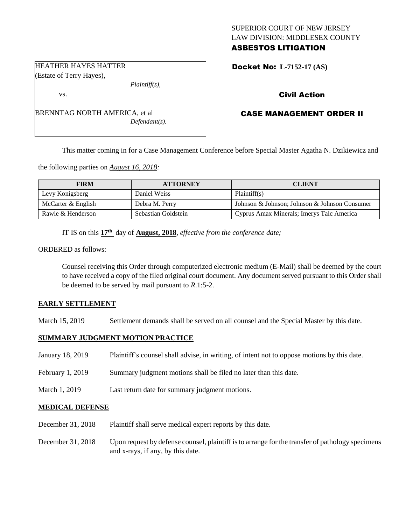## SUPERIOR COURT OF NEW JERSEY LAW DIVISION: MIDDLESEX COUNTY ASBESTOS LITIGATION

Docket No: **L-7152-17 (AS)** 

# Civil Action

## CASE MANAGEMENT ORDER II

This matter coming in for a Case Management Conference before Special Master Agatha N. Dzikiewicz and

the following parties on *August 16, 2018:*

| <b>FIRM</b>        | <b>ATTORNEY</b>     | <b>CLIENT</b>                                 |
|--------------------|---------------------|-----------------------------------------------|
| Levy Konigsberg    | Daniel Weiss        | Plaintiff(s)                                  |
| McCarter & English | Debra M. Perry      | Johnson & Johnson; Johnson & Johnson Consumer |
| Rawle & Henderson  | Sebastian Goldstein | Cyprus Amax Minerals; Imerys Talc America     |

IT IS on this  $17<sup>th</sup>$  day of **August, 2018**, *effective from the conference date*;

ORDERED as follows:

Counsel receiving this Order through computerized electronic medium (E-Mail) shall be deemed by the court to have received a copy of the filed original court document. Any document served pursuant to this Order shall be deemed to be served by mail pursuant to *R*.1:5-2.

#### **EARLY SETTLEMENT**

March 15, 2019 Settlement demands shall be served on all counsel and the Special Master by this date.

## **SUMMARY JUDGMENT MOTION PRACTICE**

| January 18, 2019 | Plaintiff's counsel shall advise, in writing, of intent not to oppose motions by this date. |
|------------------|---------------------------------------------------------------------------------------------|
| February 1, 2019 | Summary judgment motions shall be filed no later than this date.                            |
| March 1, 2019    | Last return date for summary judgment motions.                                              |

### **MEDICAL DEFENSE**

- December 31, 2018 Plaintiff shall serve medical expert reports by this date.
- December 31, 2018 Upon request by defense counsel, plaintiff is to arrange for the transfer of pathology specimens and x-rays, if any, by this date.

### HEATHER HAYES HATTER (Estate of Terry Hayes),

vs.

BRENNTAG NORTH AMERICA, et al *Defendant(s).*

*Plaintiff(s),*